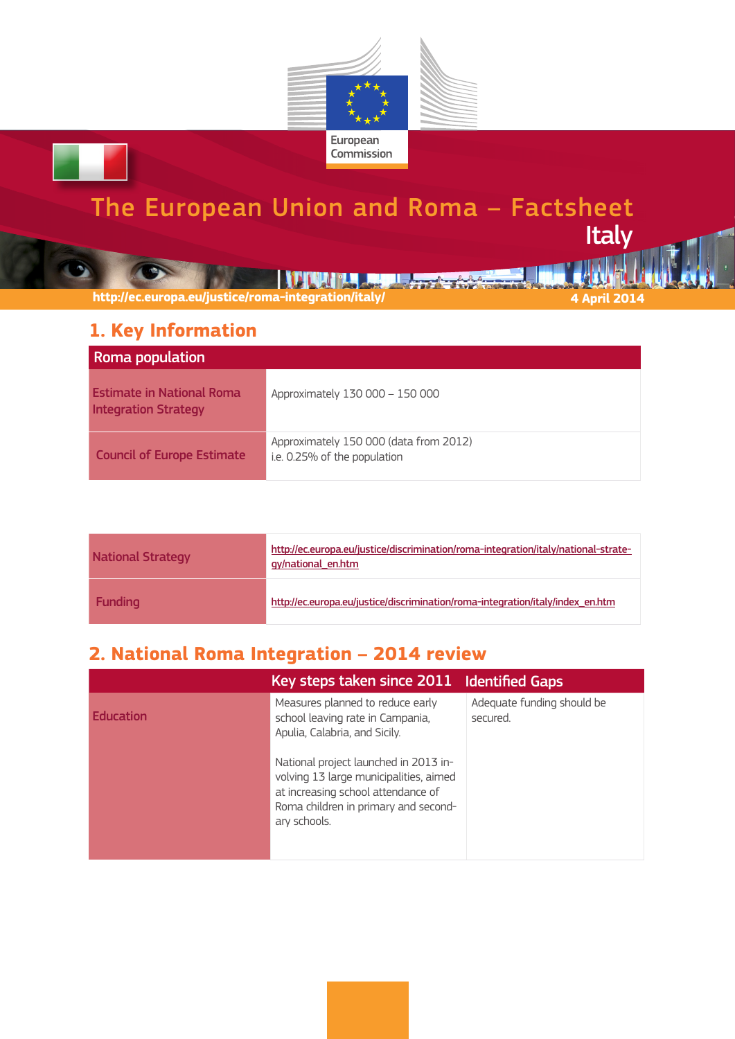

# The European Union and Roma – Factsheet **Italy**

**THE REAL PROPERTY OF STATE AND REAL PROPERTY.** 

**http://ec.europa.eu/justice/roma-integration/italy/ 4 April 2014**

### **1. Key Information**

| <b>Roma population</b>                                          |                                                                        |
|-----------------------------------------------------------------|------------------------------------------------------------------------|
| <b>Estimate in National Roma</b><br><b>Integration Strategy</b> | Approximately 130 000 - 150 000                                        |
| <b>Council of Europe Estimate</b>                               | Approximately 150 000 (data from 2012)<br>i.e. 0.25% of the population |

| <b>National Strategy</b> | http://ec.europa.eu/justice/discrimination/roma-integration/italy/national-strate-<br>gy/national en.htm |
|--------------------------|----------------------------------------------------------------------------------------------------------|
| <b>Funding</b>           | http://ec.europa.eu/justice/discrimination/roma-integration/italy/index en.htm                           |

# **2. National Roma Integration – 2014 review**

|                  | Key steps taken since 2011 Identified Gaps                                                                                                                                    |                                        |
|------------------|-------------------------------------------------------------------------------------------------------------------------------------------------------------------------------|----------------------------------------|
| <b>Fducation</b> | Measures planned to reduce early<br>school leaving rate in Campania,<br>Apulia, Calabria, and Sicily.                                                                         | Adequate funding should be<br>secured. |
|                  | National project launched in 2013 in-<br>volving 13 large municipalities, aimed<br>at increasing school attendance of<br>Roma children in primary and second-<br>ary schools. |                                        |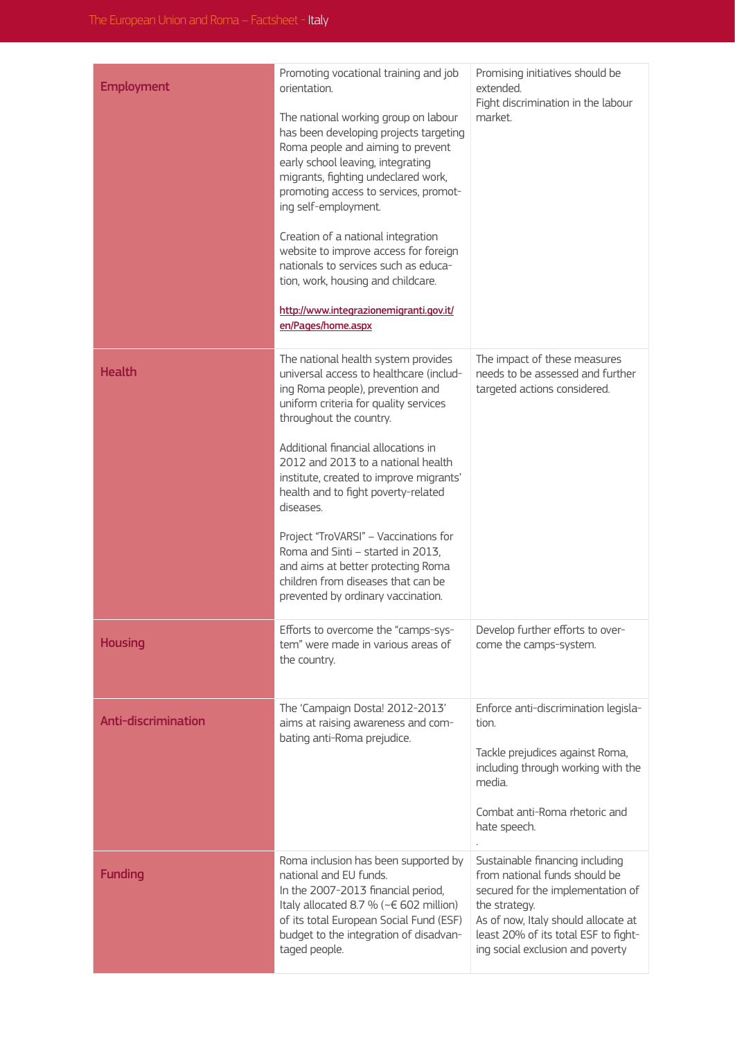| <b>Employment</b>          | Promoting vocational training and job<br>orientation.<br>The national working group on labour<br>has been developing projects targeting<br>Roma people and aiming to prevent<br>early school leaving, integrating<br>migrants, fighting undeclared work,<br>promoting access to services, promot-<br>ing self-employment.<br>Creation of a national integration<br>website to improve access for foreign<br>nationals to services such as educa-<br>tion, work, housing and childcare.<br>http://www.integrazionemigranti.gov.it/<br>en/Pages/home.aspx            | Promising initiatives should be<br>extended.<br>Fight discrimination in the labour<br>market.                                                                                                                                             |
|----------------------------|--------------------------------------------------------------------------------------------------------------------------------------------------------------------------------------------------------------------------------------------------------------------------------------------------------------------------------------------------------------------------------------------------------------------------------------------------------------------------------------------------------------------------------------------------------------------|-------------------------------------------------------------------------------------------------------------------------------------------------------------------------------------------------------------------------------------------|
| <b>Health</b>              | The national health system provides<br>universal access to healthcare (includ-<br>ing Roma people), prevention and<br>uniform criteria for quality services<br>throughout the country.<br>Additional financial allocations in<br>2012 and 2013 to a national health<br>institute, created to improve migrants'<br>health and to fight poverty-related<br>diseases.<br>Project "TroVARSI" - Vaccinations for<br>Roma and Sinti - started in 2013,<br>and aims at better protecting Roma<br>children from diseases that can be<br>prevented by ordinary vaccination. | The impact of these measures<br>needs to be assessed and further<br>targeted actions considered.                                                                                                                                          |
| <b>Housing</b>             | Efforts to overcome the "camps-sys-<br>tem" were made in various areas of<br>the country.                                                                                                                                                                                                                                                                                                                                                                                                                                                                          | Develop further efforts to over-<br>come the camps-system.                                                                                                                                                                                |
| <b>Anti-discrimination</b> | The 'Campaign Dosta! 2012-2013'<br>aims at raising awareness and com-<br>bating anti-Roma prejudice.                                                                                                                                                                                                                                                                                                                                                                                                                                                               | Enforce anti-discrimination legisla-<br>tion.<br>Tackle prejudices against Roma,<br>including through working with the<br>media.<br>Combat anti-Roma rhetoric and<br>hate speech.                                                         |
| <b>Funding</b>             | Roma inclusion has been supported by<br>national and EU funds.<br>In the 2007-2013 financial period,<br>Italy allocated 8.7 % (~€ 602 million)<br>of its total European Social Fund (ESF)<br>budget to the integration of disadvan-<br>taged people.                                                                                                                                                                                                                                                                                                               | Sustainable financing including<br>from national funds should be<br>secured for the implementation of<br>the strategy.<br>As of now, Italy should allocate at<br>least 20% of its total ESF to fight-<br>ing social exclusion and poverty |